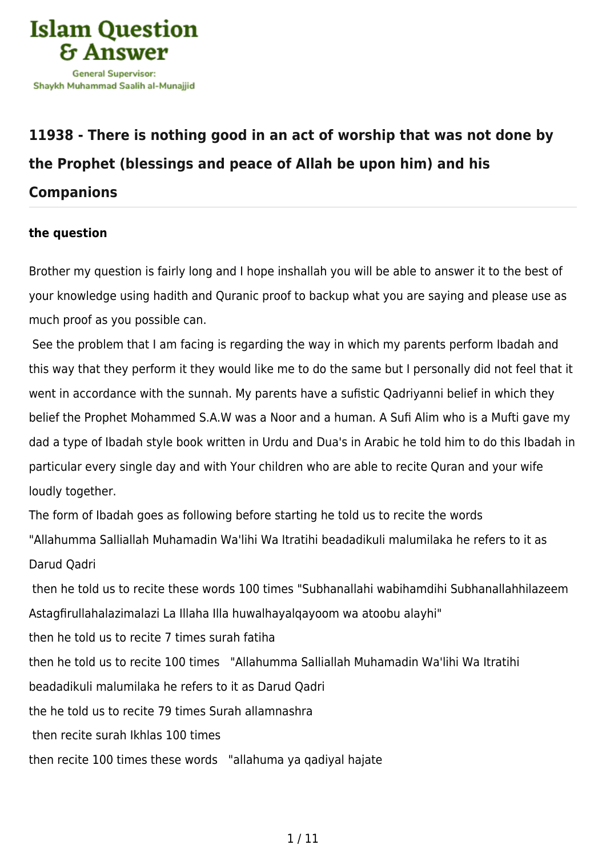

## **[11938 - There is nothing good in an act of worship that was not done by](https://islamqa.com/en/answers/11938/there-is-nothing-good-in-an-act-of-worship-that-was-not-done-by-the-prophet-blessings-and-peace-of-allah-be-upon-him-and-his-companions) [the Prophet \(blessings and peace of Allah be upon him\) and his](https://islamqa.com/en/answers/11938/there-is-nothing-good-in-an-act-of-worship-that-was-not-done-by-the-prophet-blessings-and-peace-of-allah-be-upon-him-and-his-companions) [Companions](https://islamqa.com/en/answers/11938/there-is-nothing-good-in-an-act-of-worship-that-was-not-done-by-the-prophet-blessings-and-peace-of-allah-be-upon-him-and-his-companions)**

## **the question**

Brother my question is fairly long and I hope inshallah you will be able to answer it to the best of your knowledge using hadith and Quranic proof to backup what you are saying and please use as much proof as you possible can.

 See the problem that I am facing is regarding the way in which my parents perform Ibadah and this way that they perform it they would like me to do the same but I personally did not feel that it went in accordance with the sunnah. My parents have a sufistic Qadriyanni belief in which they belief the Prophet Mohammed S.A.W was a Noor and a human. A Sufi Alim who is a Mufti gave my dad a type of Ibadah style book written in Urdu and Dua's in Arabic he told him to do this Ibadah in particular every single day and with Your children who are able to recite Quran and your wife loudly together.

The form of Ibadah goes as following before starting he told us to recite the words "Allahumma Salliallah Muhamadin Wa'lihi Wa Itratihi beadadikuli malumilaka he refers to it as Darud Qadri

 then he told us to recite these words 100 times "Subhanallahi wabihamdihi Subhanallahhilazeem Astagfirullahalazimalazi La Illaha Illa huwalhayalqayoom wa atoobu alayhi"

then he told us to recite 7 times surah fatiha

then he told us to recite 100 times "Allahumma Salliallah Muhamadin Wa'lihi Wa Itratihi

beadadikuli malumilaka he refers to it as Darud Qadri

the he told us to recite 79 times Surah allamnashra

then recite surah Ikhlas 100 times

then recite 100 times these words "allahuma ya qadiyal hajate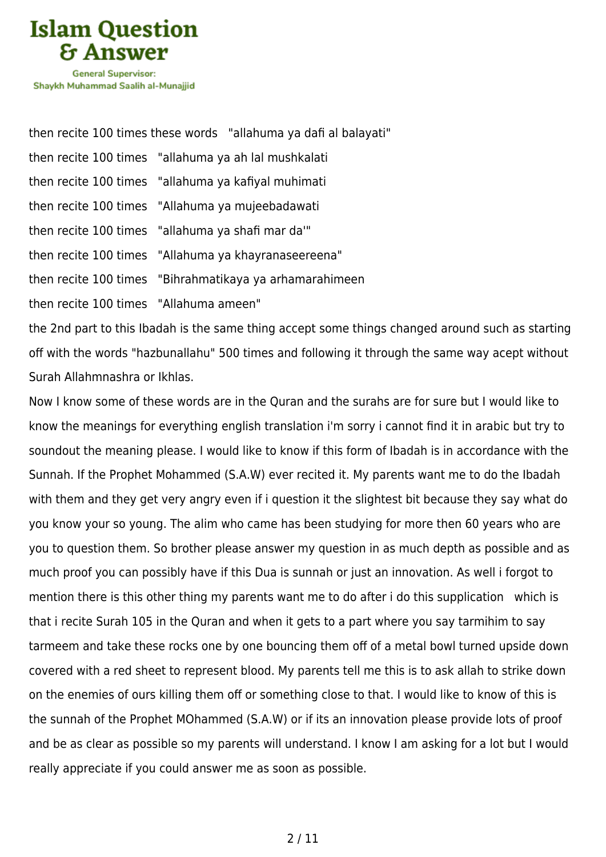

Shavkh Muhammad Saalih al-Munaiiid

then recite 100 times these words "allahuma ya dafi al balayati" then recite 100 times "allahuma ya ah lal mushkalati then recite 100 times "allahuma ya kafiyal muhimati then recite 100 times "Allahuma ya mujeebadawati then recite 100 times "allahuma ya shafi mar da'" then recite 100 times "Allahuma ya khayranaseereena" then recite 100 times "Bihrahmatikaya ya arhamarahimeen then recite 100 times "Allahuma ameen" the 2nd part to this Ibadah is the same thing accept some things changed around such as starting

off with the words "hazbunallahu" 500 times and following it through the same way acept without Surah Allahmnashra or Ikhlas.

Now I know some of these words are in the Quran and the surahs are for sure but I would like to know the meanings for everything english translation i'm sorry i cannot find it in arabic but try to soundout the meaning please. I would like to know if this form of Ibadah is in accordance with the Sunnah. If the Prophet Mohammed (S.A.W) ever recited it. My parents want me to do the Ibadah with them and they get very angry even if i question it the slightest bit because they say what do you know your so young. The alim who came has been studying for more then 60 years who are you to question them. So brother please answer my question in as much depth as possible and as much proof you can possibly have if this Dua is sunnah or just an innovation. As well i forgot to mention there is this other thing my parents want me to do after i do this supplication which is that i recite Surah 105 in the Quran and when it gets to a part where you say tarmihim to say tarmeem and take these rocks one by one bouncing them off of a metal bowl turned upside down covered with a red sheet to represent blood. My parents tell me this is to ask allah to strike down on the enemies of ours killing them off or something close to that. I would like to know of this is the sunnah of the Prophet MOhammed (S.A.W) or if its an innovation please provide lots of proof and be as clear as possible so my parents will understand. I know I am asking for a lot but I would really appreciate if you could answer me as soon as possible.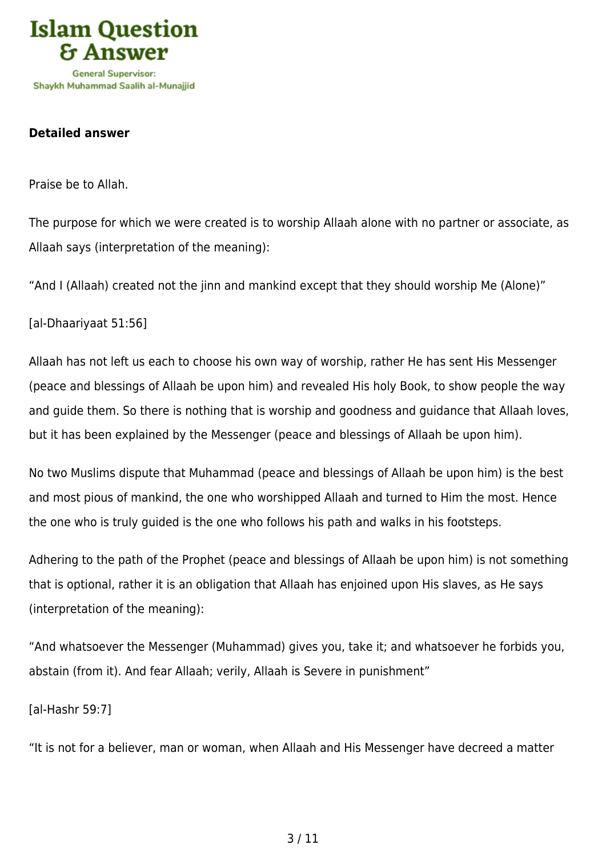

## **Detailed answer**

Praise be to Allah.

The purpose for which we were created is to worship Allaah alone with no partner or associate, as Allaah says (interpretation of the meaning):

"And I (Allaah) created not the jinn and mankind except that they should worship Me (Alone)"

[al-Dhaariyaat 51:56]

Allaah has not left us each to choose his own way of worship, rather He has sent His Messenger (peace and blessings of Allaah be upon him) and revealed His holy Book, to show people the way and guide them. So there is nothing that is worship and goodness and guidance that Allaah loves, but it has been explained by the Messenger (peace and blessings of Allaah be upon him).

No two Muslims dispute that Muhammad (peace and blessings of Allaah be upon him) is the best and most pious of mankind, the one who worshipped Allaah and turned to Him the most. Hence the one who is truly guided is the one who follows his path and walks in his footsteps.

Adhering to the path of the Prophet (peace and blessings of Allaah be upon him) is not something that is optional, rather it is an obligation that Allaah has enjoined upon His slaves, as He says (interpretation of the meaning):

"And whatsoever the Messenger (Muhammad) gives you, take it; and whatsoever he forbids you, abstain (from it). And fear Allaah; verily, Allaah is Severe in punishment"

[al-Hashr 59:7]

"It is not for a believer, man or woman, when Allaah and His Messenger have decreed a matter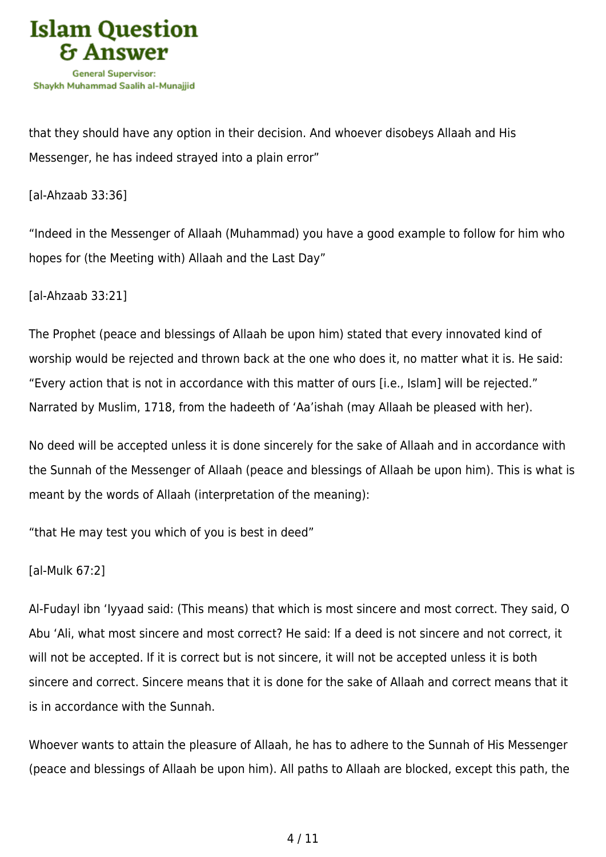

that they should have any option in their decision. And whoever disobeys Allaah and His Messenger, he has indeed strayed into a plain error"

## [al-Ahzaab 33:36]

"Indeed in the Messenger of Allaah (Muhammad) you have a good example to follow for him who hopes for (the Meeting with) Allaah and the Last Day"

[al-Ahzaab 33:21]

The Prophet (peace and blessings of Allaah be upon him) stated that every innovated kind of worship would be rejected and thrown back at the one who does it, no matter what it is. He said: "Every action that is not in accordance with this matter of ours [i.e., Islam] will be rejected." Narrated by Muslim, 1718, from the hadeeth of 'Aa'ishah (may Allaah be pleased with her).

No deed will be accepted unless it is done sincerely for the sake of Allaah and in accordance with the Sunnah of the Messenger of Allaah (peace and blessings of Allaah be upon him). This is what is meant by the words of Allaah (interpretation of the meaning):

"that He may test you which of you is best in deed"

[al-Mulk 67:2]

Al-Fudayl ibn 'Iyyaad said: (This means) that which is most sincere and most correct. They said, O Abu 'Ali, what most sincere and most correct? He said: If a deed is not sincere and not correct, it will not be accepted. If it is correct but is not sincere, it will not be accepted unless it is both sincere and correct. Sincere means that it is done for the sake of Allaah and correct means that it is in accordance with the Sunnah.

Whoever wants to attain the pleasure of Allaah, he has to adhere to the Sunnah of His Messenger (peace and blessings of Allaah be upon him). All paths to Allaah are blocked, except this path, the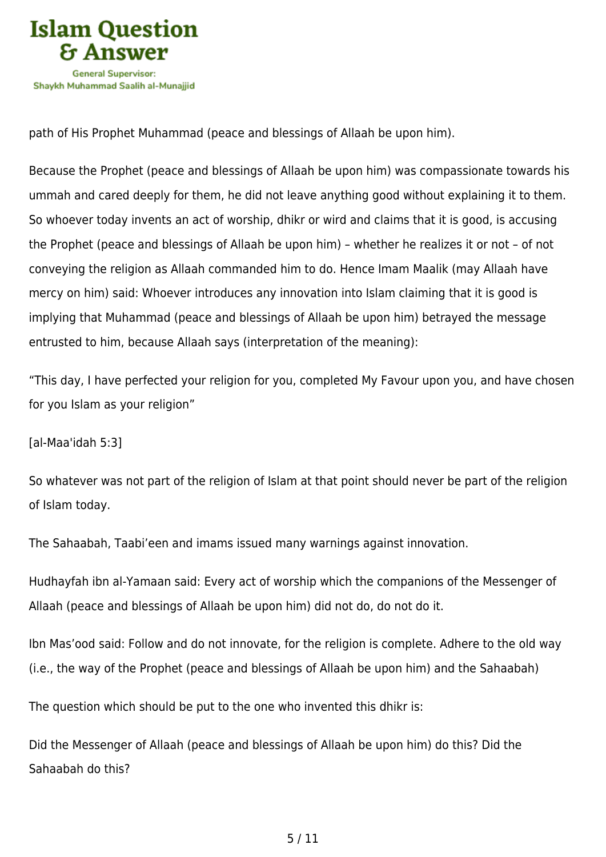

path of His Prophet Muhammad (peace and blessings of Allaah be upon him).

Because the Prophet (peace and blessings of Allaah be upon him) was compassionate towards his ummah and cared deeply for them, he did not leave anything good without explaining it to them. So whoever today invents an act of worship, dhikr or wird and claims that it is good, is accusing the Prophet (peace and blessings of Allaah be upon him) – whether he realizes it or not – of not conveying the religion as Allaah commanded him to do. Hence Imam Maalik (may Allaah have mercy on him) said: Whoever introduces any innovation into Islam claiming that it is good is implying that Muhammad (peace and blessings of Allaah be upon him) betrayed the message entrusted to him, because Allaah says (interpretation of the meaning):

"This day, I have perfected your religion for you, completed My Favour upon you, and have chosen for you Islam as your religion"

[al-Maa'idah 5:3]

So whatever was not part of the religion of Islam at that point should never be part of the religion of Islam today.

The Sahaabah, Taabi'een and imams issued many warnings against innovation.

Hudhayfah ibn al-Yamaan said: Every act of worship which the companions of the Messenger of Allaah (peace and blessings of Allaah be upon him) did not do, do not do it.

Ibn Mas'ood said: Follow and do not innovate, for the religion is complete. Adhere to the old way (i.e., the way of the Prophet (peace and blessings of Allaah be upon him) and the Sahaabah)

The question which should be put to the one who invented this dhikr is:

Did the Messenger of Allaah (peace and blessings of Allaah be upon him) do this? Did the Sahaabah do this?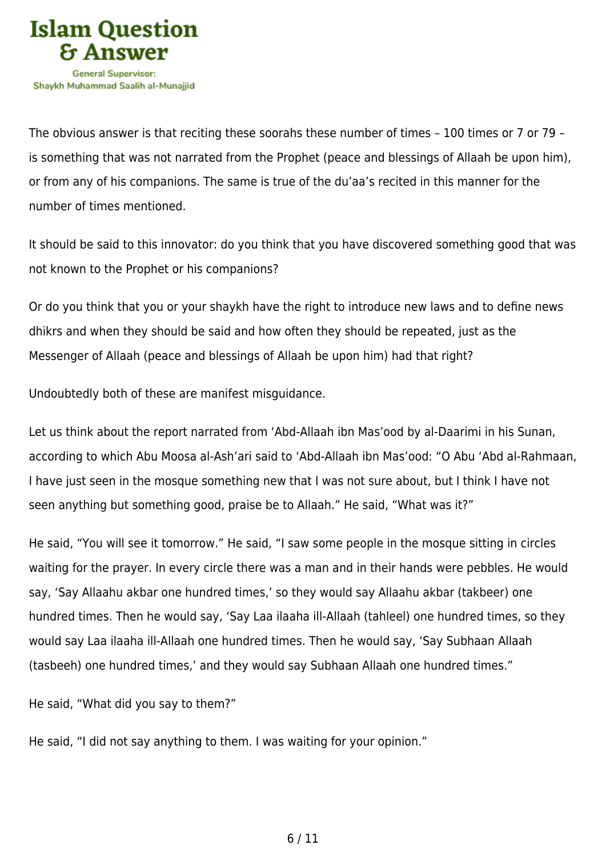

The obvious answer is that reciting these soorahs these number of times – 100 times or 7 or 79 – is something that was not narrated from the Prophet (peace and blessings of Allaah be upon him), or from any of his companions. The same is true of the du'aa's recited in this manner for the number of times mentioned.

It should be said to this innovator: do you think that you have discovered something good that was not known to the Prophet or his companions?

Or do you think that you or your shaykh have the right to introduce new laws and to define news dhikrs and when they should be said and how often they should be repeated, just as the Messenger of Allaah (peace and blessings of Allaah be upon him) had that right?

Undoubtedly both of these are manifest misguidance.

Let us think about the report narrated from 'Abd-Allaah ibn Mas'ood by al-Daarimi in his Sunan, according to which Abu Moosa al-Ash'ari said to 'Abd-Allaah ibn Mas'ood: "O Abu 'Abd al-Rahmaan, I have just seen in the mosque something new that I was not sure about, but I think I have not seen anything but something good, praise be to Allaah." He said, "What was it?"

He said, "You will see it tomorrow." He said, "I saw some people in the mosque sitting in circles waiting for the prayer. In every circle there was a man and in their hands were pebbles. He would say, 'Say Allaahu akbar one hundred times,' so they would say Allaahu akbar (takbeer) one hundred times. Then he would say, 'Say Laa ilaaha ill-Allaah (tahleel) one hundred times, so they would say Laa ilaaha ill-Allaah one hundred times. Then he would say, 'Say Subhaan Allaah (tasbeeh) one hundred times,' and they would say Subhaan Allaah one hundred times."

He said, "What did you say to them?"

He said, "I did not say anything to them. I was waiting for your opinion."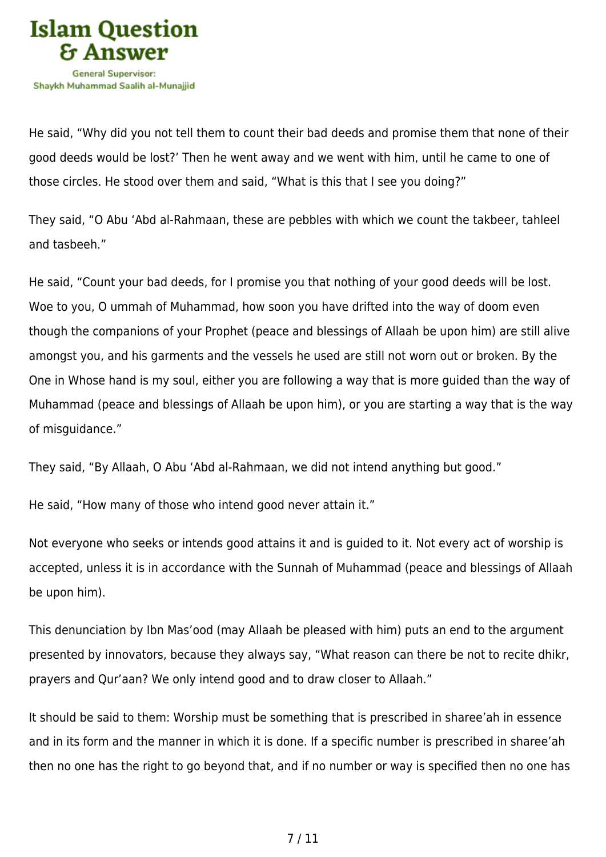

He said, "Why did you not tell them to count their bad deeds and promise them that none of their good deeds would be lost?' Then he went away and we went with him, until he came to one of those circles. He stood over them and said, "What is this that I see you doing?"

They said, "O Abu 'Abd al-Rahmaan, these are pebbles with which we count the takbeer, tahleel and tasbeeh."

He said, "Count your bad deeds, for I promise you that nothing of your good deeds will be lost. Woe to you, O ummah of Muhammad, how soon you have drifted into the way of doom even though the companions of your Prophet (peace and blessings of Allaah be upon him) are still alive amongst you, and his garments and the vessels he used are still not worn out or broken. By the One in Whose hand is my soul, either you are following a way that is more guided than the way of Muhammad (peace and blessings of Allaah be upon him), or you are starting a way that is the way of misguidance."

They said, "By Allaah, O Abu 'Abd al-Rahmaan, we did not intend anything but good."

He said, "How many of those who intend good never attain it."

Not everyone who seeks or intends good attains it and is guided to it. Not every act of worship is accepted, unless it is in accordance with the Sunnah of Muhammad (peace and blessings of Allaah be upon him).

This denunciation by Ibn Mas'ood (may Allaah be pleased with him) puts an end to the argument presented by innovators, because they always say, "What reason can there be not to recite dhikr, prayers and Qur'aan? We only intend good and to draw closer to Allaah."

It should be said to them: Worship must be something that is prescribed in sharee'ah in essence and in its form and the manner in which it is done. If a specific number is prescribed in sharee'ah then no one has the right to go beyond that, and if no number or way is specified then no one has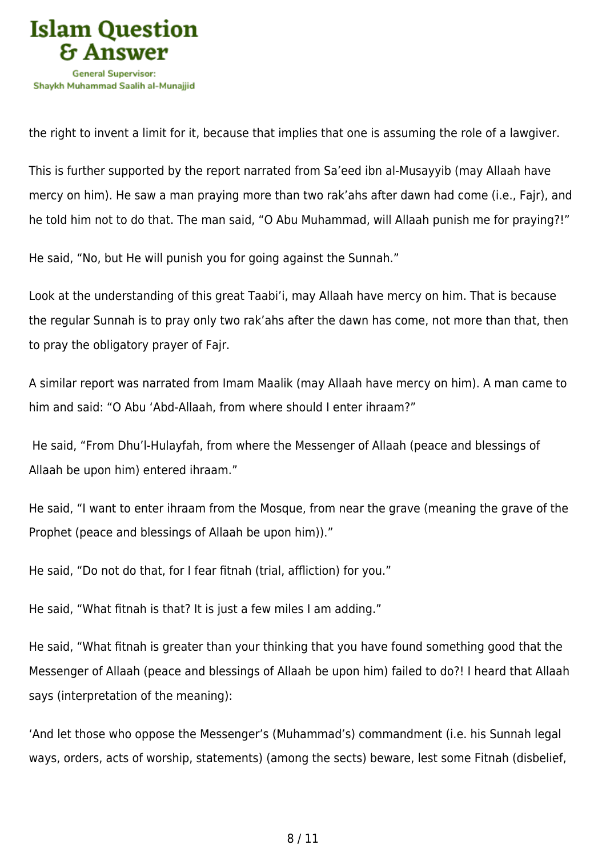

the right to invent a limit for it, because that implies that one is assuming the role of a lawgiver.

This is further supported by the report narrated from Sa'eed ibn al-Musayyib (may Allaah have mercy on him). He saw a man praying more than two rak'ahs after dawn had come (i.e., Fajr), and he told him not to do that. The man said, "O Abu Muhammad, will Allaah punish me for praying?!"

He said, "No, but He will punish you for going against the Sunnah."

Look at the understanding of this great Taabi'i, may Allaah have mercy on him. That is because the regular Sunnah is to pray only two rak'ahs after the dawn has come, not more than that, then to pray the obligatory prayer of Fajr.

A similar report was narrated from Imam Maalik (may Allaah have mercy on him). A man came to him and said: "O Abu 'Abd-Allaah, from where should I enter ihraam?"

 He said, "From Dhu'l-Hulayfah, from where the Messenger of Allaah (peace and blessings of Allaah be upon him) entered ihraam."

He said, "I want to enter ihraam from the Mosque, from near the grave (meaning the grave of the Prophet (peace and blessings of Allaah be upon him))."

He said, "Do not do that, for I fear fitnah (trial, affliction) for you."

He said, "What fitnah is that? It is just a few miles I am adding."

He said, "What fitnah is greater than your thinking that you have found something good that the Messenger of Allaah (peace and blessings of Allaah be upon him) failed to do?! I heard that Allaah says (interpretation of the meaning):

'And let those who oppose the Messenger's (Muhammad's) commandment (i.e. his Sunnah legal ways, orders, acts of worship, statements) (among the sects) beware, lest some Fitnah (disbelief,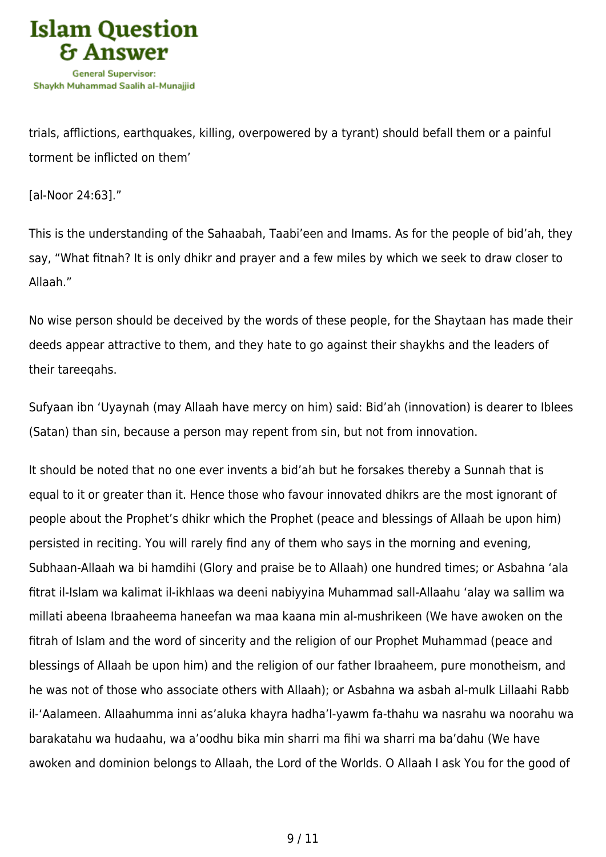

trials, afflictions, earthquakes, killing, overpowered by a tyrant) should befall them or a painful torment be inflicted on them'

[al-Noor 24:63]."

This is the understanding of the Sahaabah, Taabi'een and Imams. As for the people of bid'ah, they say, "What fitnah? It is only dhikr and prayer and a few miles by which we seek to draw closer to Allaah."

No wise person should be deceived by the words of these people, for the Shaytaan has made their deeds appear attractive to them, and they hate to go against their shaykhs and the leaders of their tareeqahs.

Sufyaan ibn 'Uyaynah (may Allaah have mercy on him) said: Bid'ah (innovation) is dearer to Iblees (Satan) than sin, because a person may repent from sin, but not from innovation.

It should be noted that no one ever invents a bid'ah but he forsakes thereby a Sunnah that is equal to it or greater than it. Hence those who favour innovated dhikrs are the most ignorant of people about the Prophet's dhikr which the Prophet (peace and blessings of Allaah be upon him) persisted in reciting. You will rarely find any of them who says in the morning and evening, Subhaan-Allaah wa bi hamdihi (Glory and praise be to Allaah) one hundred times; or Asbahna 'ala fitrat il-Islam wa kalimat il-ikhlaas wa deeni nabiyyina Muhammad sall-Allaahu 'alay wa sallim wa millati abeena Ibraaheema haneefan wa maa kaana min al-mushrikeen (We have awoken on the fitrah of Islam and the word of sincerity and the religion of our Prophet Muhammad (peace and blessings of Allaah be upon him) and the religion of our father Ibraaheem, pure monotheism, and he was not of those who associate others with Allaah); or Asbahna wa asbah al-mulk Lillaahi Rabb il-'Aalameen. Allaahumma inni as'aluka khayra hadha'l-yawm fa-thahu wa nasrahu wa noorahu wa barakatahu wa hudaahu, wa a'oodhu bika min sharri ma fihi wa sharri ma ba'dahu (We have awoken and dominion belongs to Allaah, the Lord of the Worlds. O Allaah I ask You for the good of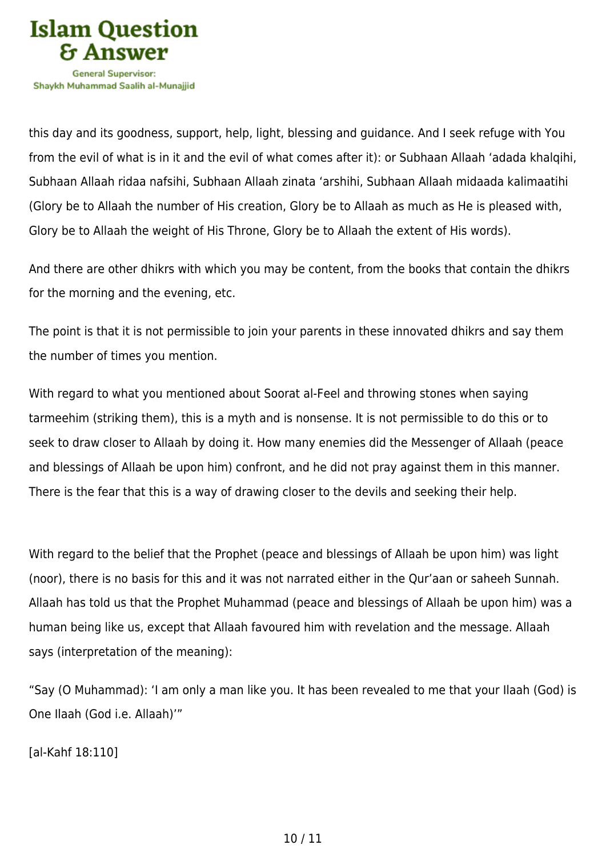

this day and its goodness, support, help, light, blessing and guidance. And I seek refuge with You from the evil of what is in it and the evil of what comes after it): or Subhaan Allaah 'adada khalqihi, Subhaan Allaah ridaa nafsihi, Subhaan Allaah zinata 'arshihi, Subhaan Allaah midaada kalimaatihi (Glory be to Allaah the number of His creation, Glory be to Allaah as much as He is pleased with, Glory be to Allaah the weight of His Throne, Glory be to Allaah the extent of His words).

And there are other dhikrs with which you may be content, from the books that contain the dhikrs for the morning and the evening, etc.

The point is that it is not permissible to join your parents in these innovated dhikrs and say them the number of times you mention.

With regard to what you mentioned about Soorat al-Feel and throwing stones when saying tarmeehim (striking them), this is a myth and is nonsense. It is not permissible to do this or to seek to draw closer to Allaah by doing it. How many enemies did the Messenger of Allaah (peace and blessings of Allaah be upon him) confront, and he did not pray against them in this manner. There is the fear that this is a way of drawing closer to the devils and seeking their help.

With regard to the belief that the Prophet (peace and blessings of Allaah be upon him) was light (noor), there is no basis for this and it was not narrated either in the Qur'aan or saheeh Sunnah. Allaah has told us that the Prophet Muhammad (peace and blessings of Allaah be upon him) was a human being like us, except that Allaah favoured him with revelation and the message. Allaah says (interpretation of the meaning):

"Say (O Muhammad): 'I am only a man like you. It has been revealed to me that your Ilaah (God) is One Ilaah (God i.e. Allaah)'"

[al-Kahf 18:110]